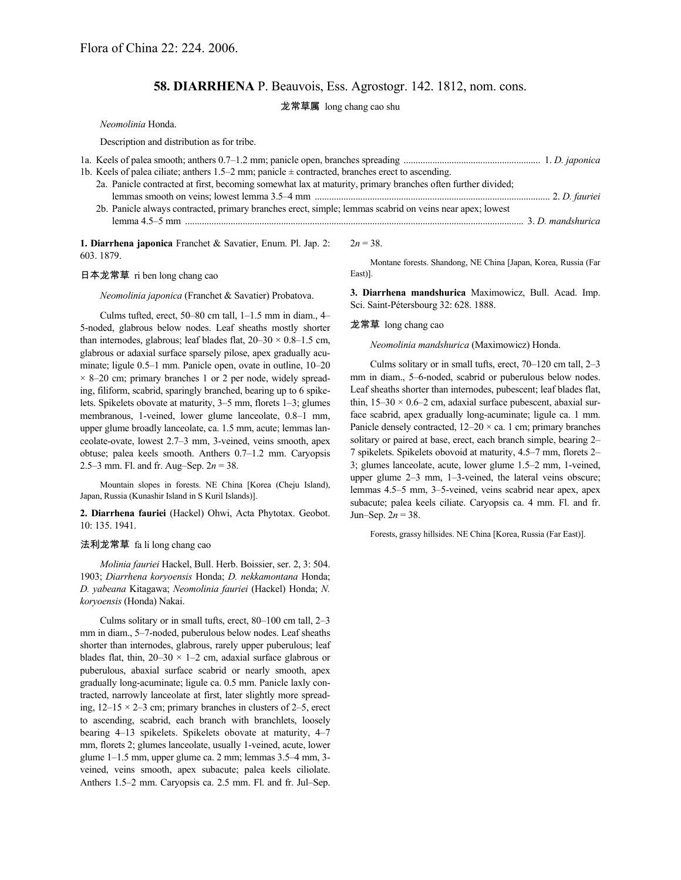# **58. DIARRHENA** P. Beauvois, Ess. Agrostogr. 142. 1812, nom. cons.

龙常草属 long chang cao shu

*Neomolinia* Honda.

Description and distribution as for tribe.

| 1b. Keels of palea ciliate; anthers $1.5-2$ mm; panicle $\pm$ contracted, branches erect to ascending.      |  |  |
|-------------------------------------------------------------------------------------------------------------|--|--|
| 2a. Panicle contracted at first, becoming somewhat lax at maturity, primary branches often further divided; |  |  |
|                                                                                                             |  |  |
| 2b. Panicle always contracted, primary branches erect, simple; lemmas scabrid on veins near apex; lowest    |  |  |
|                                                                                                             |  |  |
|                                                                                                             |  |  |

**1. Diarrhena japonica** Franchet & Savatier, Enum. Pl. Jap. 2: 603. 1879.

## 日本龙常草 ri ben long chang cao

### *Neomolinia japonica* (Franchet & Savatier) Probatova.

Culms tufted, erect, 50–80 cm tall, 1–1.5 mm in diam., 4– 5-noded, glabrous below nodes. Leaf sheaths mostly shorter than internodes, glabrous; leaf blades flat,  $20-30 \times 0.8-1.5$  cm, glabrous or adaxial surface sparsely pilose, apex gradually acuminate; ligule 0.5–1 mm. Panicle open, ovate in outline, 10–20  $\times$  8–20 cm; primary branches 1 or 2 per node, widely spreading, filiform, scabrid, sparingly branched, bearing up to 6 spikelets. Spikelets obovate at maturity, 3–5 mm, florets 1–3; glumes membranous, 1-veined, lower glume lanceolate, 0.8–1 mm, upper glume broadly lanceolate, ca. 1.5 mm, acute; lemmas lanceolate-ovate, lowest 2.7–3 mm, 3-veined, veins smooth, apex obtuse; palea keels smooth. Anthers 0.7–1.2 mm. Caryopsis 2.5–3 mm. Fl. and fr. Aug–Sep. 2*n* = 38.

Mountain slopes in forests. NE China [Korea (Cheju Island), Japan, Russia (Kunashir Island in S Kuril Islands)].

**2. Diarrhena fauriei** (Hackel) Ohwi, Acta Phytotax. Geobot. 10: 135. 1941.

#### 法利龙常草 fa li long chang cao

*Molinia fauriei* Hackel, Bull. Herb. Boissier, ser. 2, 3: 504. 1903; *Diarrhena koryoensis* Honda; *D. nekkamontana* Honda; *D. yabeana* Kitagawa; *Neomolinia fauriei* (Hackel) Honda; *N. koryoensis* (Honda) Nakai.

Culms solitary or in small tufts, erect, 80–100 cm tall, 2–3 mm in diam., 5–7-noded, puberulous below nodes. Leaf sheaths shorter than internodes, glabrous, rarely upper puberulous; leaf blades flat, thin,  $20-30 \times 1-2$  cm, adaxial surface glabrous or puberulous, abaxial surface scabrid or nearly smooth, apex gradually long-acuminate; ligule ca. 0.5 mm. Panicle laxly contracted, narrowly lanceolate at first, later slightly more spreading,  $12-15 \times 2-3$  cm; primary branches in clusters of 2-5, erect to ascending, scabrid, each branch with branchlets, loosely bearing 4–13 spikelets. Spikelets obovate at maturity, 4–7 mm, florets 2; glumes lanceolate, usually 1-veined, acute, lower glume 1–1.5 mm, upper glume ca. 2 mm; lemmas 3.5–4 mm, 3 veined, veins smooth, apex subacute; palea keels ciliolate. Anthers 1.5–2 mm. Caryopsis ca. 2.5 mm. Fl. and fr. Jul–Sep.  $2n = 38$ .

Montane forests. Shandong, NE China [Japan, Korea, Russia (Far East)].

**3. Diarrhena mandshurica** Maximowicz, Bull. Acad. Imp. Sci. Saint-Pétersbourg 32: 628. 1888.

#### 龙常草 long chang cao

*Neomolinia mandshurica* (Maximowicz) Honda.

Culms solitary or in small tufts, erect, 70–120 cm tall, 2–3 mm in diam., 5–6-noded, scabrid or puberulous below nodes. Leaf sheaths shorter than internodes, pubescent; leaf blades flat, thin,  $15-30 \times 0.6-2$  cm, adaxial surface pubescent, abaxial surface scabrid, apex gradually long-acuminate; ligule ca. 1 mm. Panicle densely contracted,  $12-20 \times$  ca. 1 cm; primary branches solitary or paired at base, erect, each branch simple, bearing 2– 7 spikelets. Spikelets obovoid at maturity, 4.5–7 mm, florets 2– 3; glumes lanceolate, acute, lower glume 1.5–2 mm, 1-veined, upper glume 2–3 mm, 1–3-veined, the lateral veins obscure; lemmas 4.5–5 mm, 3–5-veined, veins scabrid near apex, apex subacute; palea keels ciliate. Caryopsis ca. 4 mm. Fl. and fr. Jun–Sep.  $2n = 38$ .

Forests, grassy hillsides. NE China [Korea, Russia (Far East)].